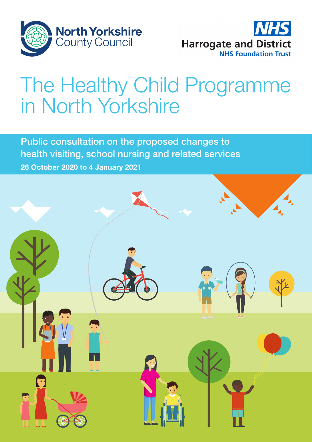



# The Healthy Child Programme in North Yorkshire

Public consultation on the proposed changes to health visiting, school nursing and related services 26 October 2020 to 4 January 2021

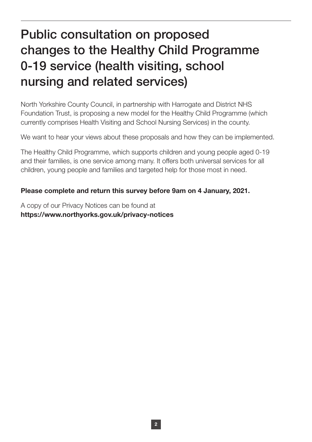# Public consultation on proposed changes to the Healthy Child Programme 0-19 service (health visiting, school nursing and related services)

North Yorkshire County Council, in partnership with Harrogate and District NHS Foundation Trust, is proposing a new model for the Healthy Child Programme (which currently comprises Health Visiting and School Nursing Services) in the county.

We want to hear your views about these proposals and how they can be implemented.

The Healthy Child Programme, which supports children and young people aged 0-19 and their families, is one service among many. It offers both universal services for all children, young people and families and targeted help for those most in need.

#### Please complete and return this survey before 9am on 4 January, 2021.

A copy of our Privacy Notices can be found at https://www.northyorks.gov.uk/privacy-notices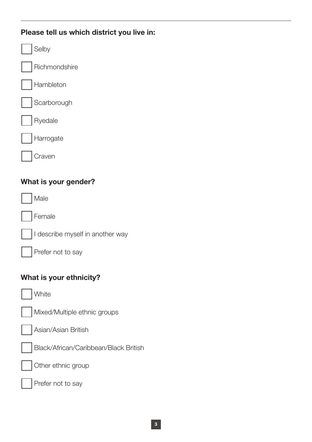### Please tell us which district you live in:

| Selby                  |  |  |
|------------------------|--|--|
| Richmondshire          |  |  |
| Hambleton              |  |  |
| Scarborough            |  |  |
| Ryedale                |  |  |
| Harrogate              |  |  |
| $\vert$ $\vert$ Craven |  |  |
| What is your gender?   |  |  |
| <i>A</i> ale           |  |  |

Female



Prefer not to say

#### What is your ethnicity?

White



Asian/Asian British





Other ethnic group

Prefer not to say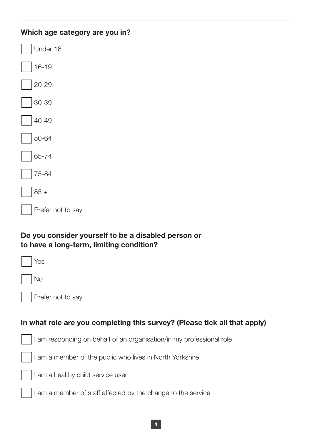| Which age category are you in? |  |  |
|--------------------------------|--|--|
| Under 16                       |  |  |
| $16 - 19$                      |  |  |
| $20-29$                        |  |  |
| $30 - 39$                      |  |  |
| $ 40-49$                       |  |  |
| $ 50 - 64$                     |  |  |
| 65-74                          |  |  |
| $75 - 84$                      |  |  |
| $85 +$                         |  |  |
| Prefer not to say              |  |  |
|                                |  |  |

## Do you consider yourself to be a disabled person or to have a long-term, limiting condition?

| Yes                                                                       |
|---------------------------------------------------------------------------|
| <b>No</b>                                                                 |
| Prefer not to say                                                         |
|                                                                           |
| In what role are you completing this survey? (Please tick all that apply) |
| I am responding on behalf of an organisation/in my professional role      |
| I am a member of the public who lives in North Yorkshire                  |
| I am a healthy child service user                                         |
| I am a member of staff affected by the change to the service              |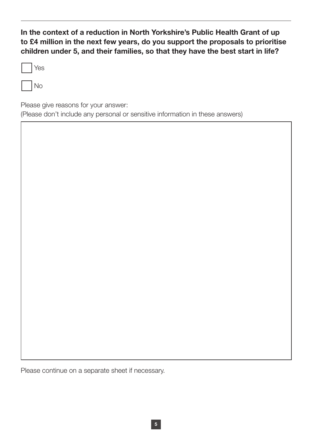In the context of a reduction in North Yorkshire's Public Health Grant of up to £4 million in the next few years, do you support the proposals to prioritise children under 5, and their families, so that they have the best start in life?

No

Please give reasons for your answer:

(Please don't include any personal or sensitive information in these answers)

Please continue on a separate sheet if necessary.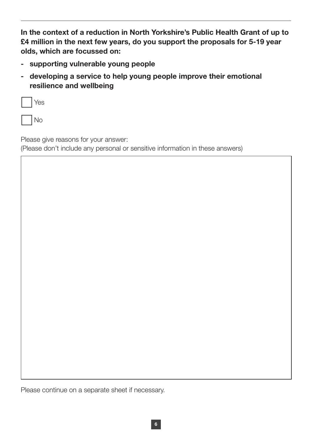In the context of a reduction in North Yorkshire's Public Health Grant of up to £4 million in the next few years, do you support the proposals for 5-19 year olds, which are focussed on:

- supporting vulnerable young people
- developing a service to help young people improve their emotional resilience and wellbeing

| Yes       |
|-----------|
| $\bigcap$ |

Please give reasons for your answer:

(Please don't include any personal or sensitive information in these answers)

Please continue on a separate sheet if necessary.